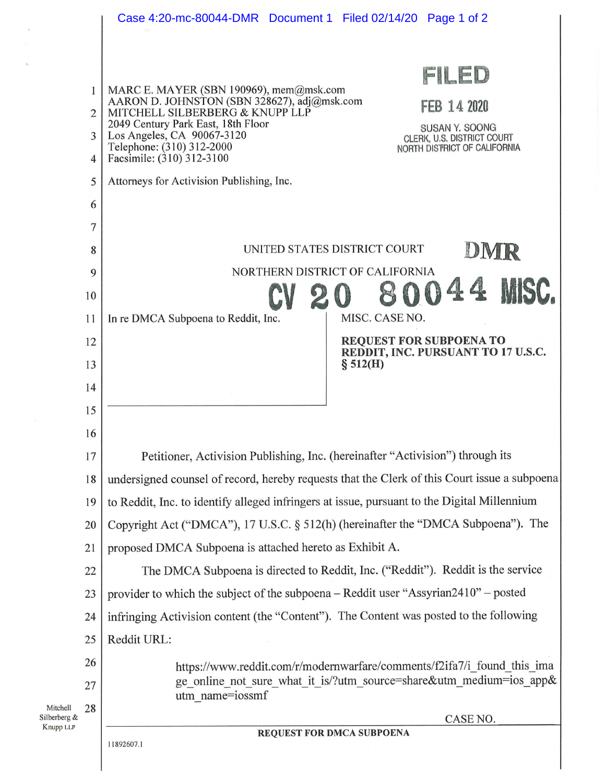|                                       |                | Case 4:20-mc-80044-DMR  Document 1  Filed 02/14/20  Page 1 of 2                                                       |
|---------------------------------------|----------------|-----------------------------------------------------------------------------------------------------------------------|
|                                       |                |                                                                                                                       |
|                                       |                | FILED                                                                                                                 |
|                                       | 1              | MARC E. MAYER (SBN 190969), mem@msk.com<br>AARON D. JOHNSTON (SBN 328627), adj@msk.com<br>FEB 14 2020                 |
|                                       | $\overline{2}$ | MITCHELL SILBERBERG & KNUPP LLP<br>2049 Century Park East, 18th Floor<br>SUSAN Y. SOONG                               |
|                                       | 3              | Los Angeles, CA 90067-3120<br>CLERK, U.S. DISTRICT COURT<br>Telephone: (310) 312-2000<br>NORTH DISTRICT OF CALIFORNIA |
|                                       | $\overline{4}$ | Facsimile: (310) 312-3100                                                                                             |
|                                       | 5              | Attorneys for Activision Publishing, Inc.                                                                             |
|                                       | 6              |                                                                                                                       |
|                                       | 7              |                                                                                                                       |
|                                       | 8              | UNITED STATES DISTRICT COURT<br>DMR                                                                                   |
|                                       | 9              | NORTHERN DISTRICT OF CALIFORNIA                                                                                       |
|                                       | 10             |                                                                                                                       |
|                                       | 11             | MISC. CASE NO.<br>In re DMCA Subpoena to Reddit, Inc.                                                                 |
|                                       | 12             | <b>REQUEST FOR SUBPOENA TO</b><br>REDDIT, INC. PURSUANT TO 17 U.S.C.                                                  |
|                                       | 13             | \$512(H)                                                                                                              |
|                                       | 14             |                                                                                                                       |
|                                       | 15             |                                                                                                                       |
|                                       | 16             |                                                                                                                       |
|                                       | 17             | Petitioner, Activision Publishing, Inc. (hereinafter "Activision") through its                                        |
|                                       | 18             | undersigned counsel of record, hereby requests that the Clerk of this Court issue a subpoena                          |
|                                       | 19             | to Reddit, Inc. to identify alleged infringers at issue, pursuant to the Digital Millennium                           |
|                                       | 20             | Copyright Act ("DMCA"), 17 U.S.C. § 512(h) (hereinafter the "DMCA Subpoena"). The                                     |
|                                       | 21             | proposed DMCA Subpoena is attached hereto as Exhibit A.                                                               |
|                                       | 22             | The DMCA Subpoena is directed to Reddit, Inc. ("Reddit"). Reddit is the service                                       |
|                                       | 23             | provider to which the subject of the subpoena - Reddit user "Assyrian2410" - posted                                   |
|                                       | 24             | infringing Activision content (the "Content"). The Content was posted to the following                                |
|                                       | 25             | Reddit URL:                                                                                                           |
|                                       | 26             | https://www.reddit.com/r/modernwarfare/comments/f2ifa7/i found this ima                                               |
|                                       | 27             | ge_online_not_sure_what_it_is/?utm_source=share&utm_medium=ios_app&<br>utm name=iossmf                                |
| Mitchell<br>Silberberg &<br>Knupp LLP | 28             | CASE NO.                                                                                                              |
|                                       |                | <b>REQUEST FOR DMCA SUBPOENA</b>                                                                                      |
|                                       |                | 11892607.1                                                                                                            |
|                                       |                |                                                                                                                       |

 $\bar{\alpha}$ 

 $\mathfrak{g}_\ell$